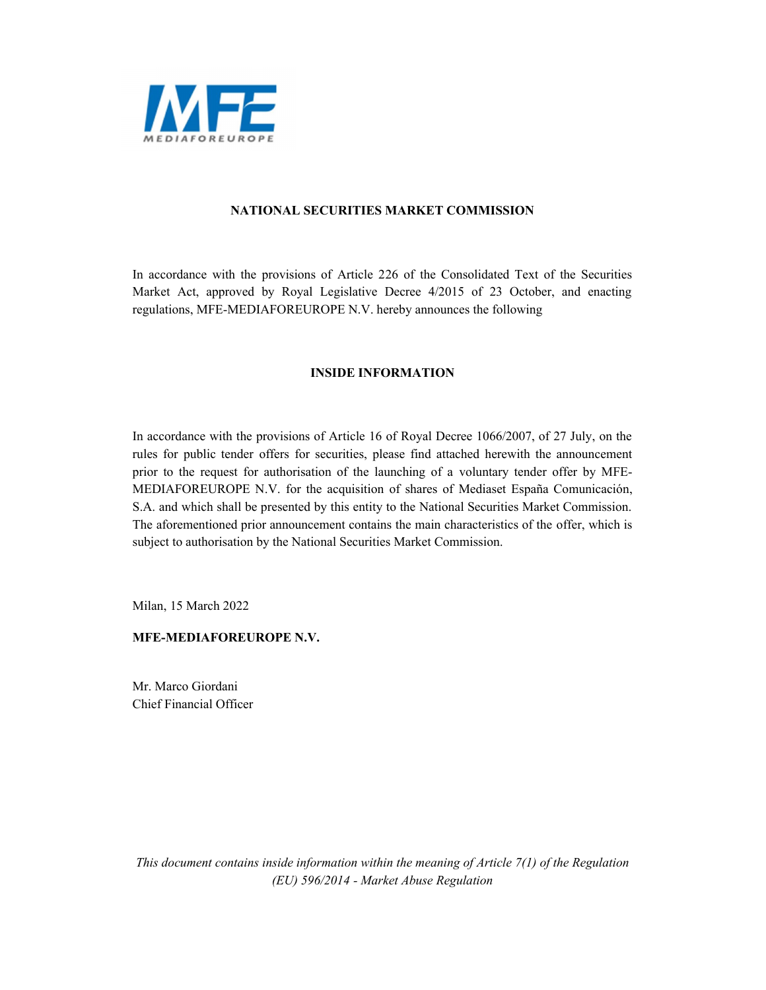

# **NATIONAL SECURITIES MARKET COMMISSION**

In accordance with the provisions of Article 226 of the Consolidated Text of the Securities Market Act, approved by Royal Legislative Decree 4/2015 of 23 October, and enacting regulations, MFE-MEDIAFOREUROPE N.V. hereby announces the following

# **INSIDE INFORMATION**

In accordance with the provisions of Article 16 of Royal Decree 1066/2007, of 27 July, on the rules for public tender offers for securities, please find attached herewith the announcement prior to the request for authorisation of the launching of a voluntary tender offer by MFE-MEDIAFOREUROPE N.V. for the acquisition of shares of Mediaset España Comunicación, S.A. and which shall be presented by this entity to the National Securities Market Commission. The aforementioned prior announcement contains the main characteristics of the offer, which is subject to authorisation by the National Securities Market Commission.

Milan, 15 March 2022

# **MFE-MEDIAFOREUROPE N.V.**

Mr. Marco Giordani Chief Financial Officer

*This document contains inside information within the meaning of Article 7(1) of the Regulation (EU) 596/2014 - Market Abuse Regulation*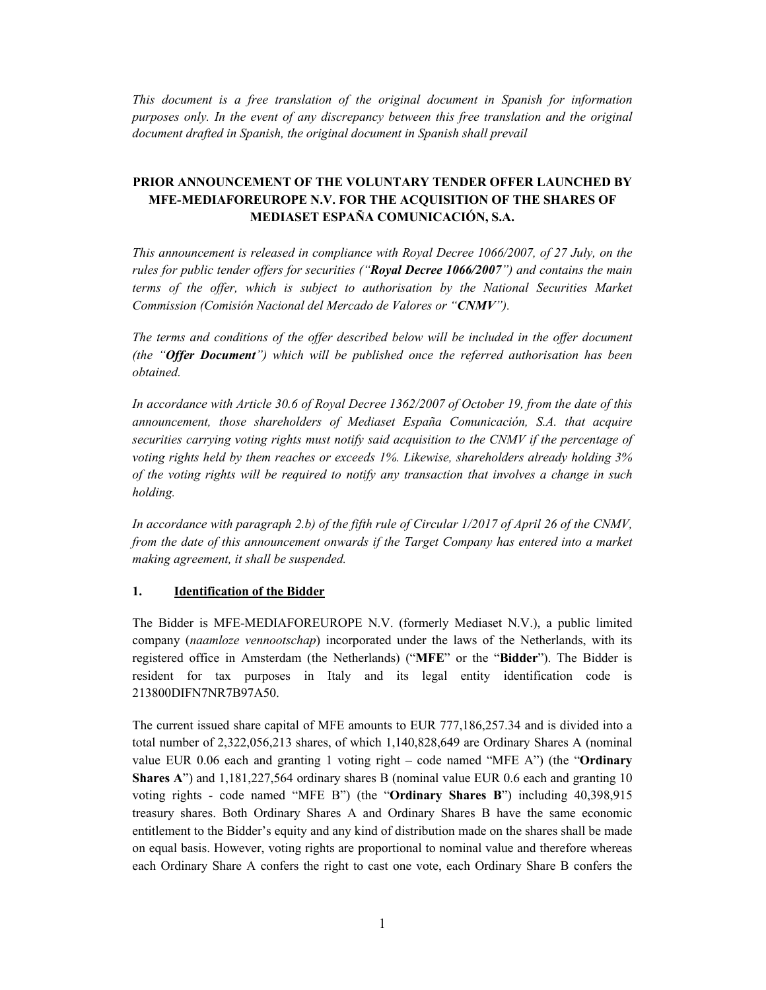*This document is a free translation of the original document in Spanish for information purposes only. In the event of any discrepancy between this free translation and the original document drafted in Spanish, the original document in Spanish shall prevail*

# **PRIOR ANNOUNCEMENT OF THE VOLUNTARY TENDER OFFER LAUNCHED BY MFE-MEDIAFOREUROPE N.V. FOR THE ACQUISITION OF THE SHARES OF MEDIASET ESPAÑA COMUNICACIÓN, S.A.**

*This announcement is released in compliance with Royal Decree 1066/2007, of 27 July, on the rules for public tender offers for securities ("Royal Decree 1066/2007") and contains the main*  terms of the offer, which is subject to authorisation by the National Securities Market *Commission (Comisión Nacional del Mercado de Valores or "CNMV").*

*The terms and conditions of the offer described below will be included in the offer document (the "Offer Document") which will be published once the referred authorisation has been obtained.*

*In accordance with Article 30.6 of Royal Decree 1362/2007 of October 19, from the date of this announcement, those shareholders of Mediaset España Comunicación, S.A. that acquire securities carrying voting rights must notify said acquisition to the CNMV if the percentage of voting rights held by them reaches or exceeds 1%. Likewise, shareholders already holding 3% of the voting rights will be required to notify any transaction that involves a change in such holding.*

*In accordance with paragraph 2.b) of the fifth rule of Circular 1/2017 of April 26 of the CNMV, from the date of this announcement onwards if the Target Company has entered into a market making agreement, it shall be suspended.*

#### **1. Identification of the Bidder**

The Bidder is MFE-MEDIAFOREUROPE N.V. (formerly Mediaset N.V.), a public limited company (*naamloze vennootschap*) incorporated under the laws of the Netherlands, with its registered office in Amsterdam (the Netherlands) ("**MFE**" or the "**Bidder**"). The Bidder is resident for tax purposes in Italy and its legal entity identification code is 213800DIFN7NR7B97A50.

The current issued share capital of MFE amounts to EUR 777,186,257.34 and is divided into a total number of 2,322,056,213 shares, of which 1,140,828,649 are Ordinary Shares A (nominal value EUR 0.06 each and granting 1 voting right – code named "MFE A") (the "**Ordinary Shares A**") and 1,181,227,564 ordinary shares B (nominal value EUR 0.6 each and granting 10 voting rights - code named "MFE B") (the "**Ordinary Shares B**") including 40,398,915 treasury shares. Both Ordinary Shares A and Ordinary Shares B have the same economic entitlement to the Bidder's equity and any kind of distribution made on the shares shall be made on equal basis. However, voting rights are proportional to nominal value and therefore whereas each Ordinary Share A confers the right to cast one vote, each Ordinary Share B confers the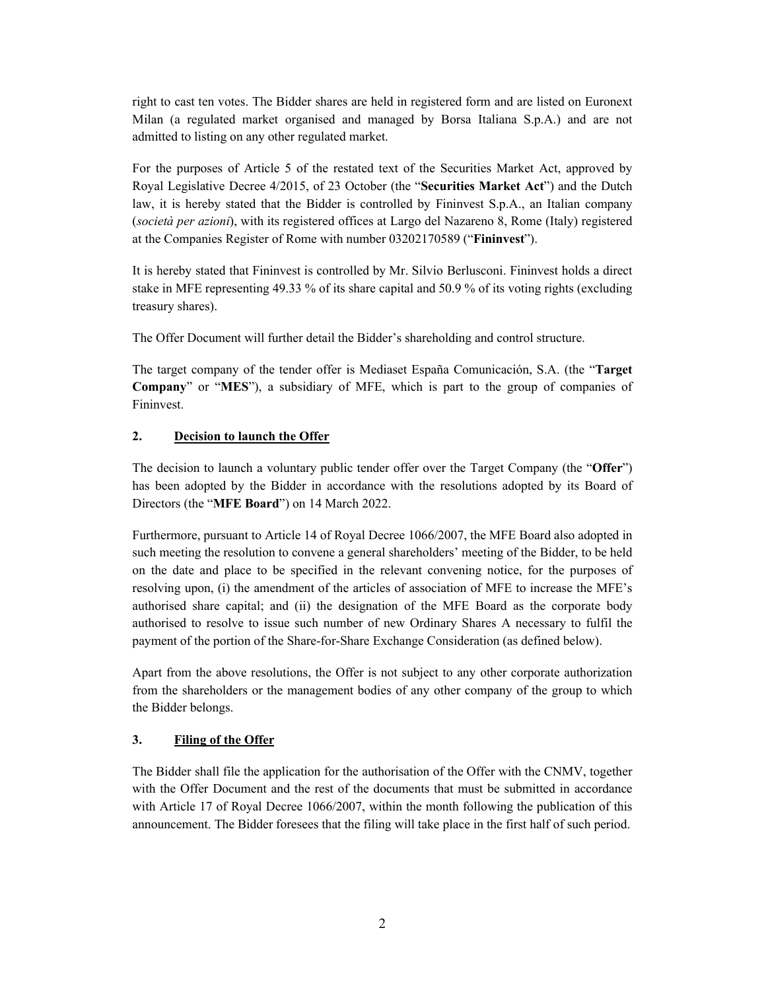right to cast ten votes. The Bidder shares are held in registered form and are listed on Euronext Milan (a regulated market organised and managed by Borsa Italiana S.p.A.) and are not admitted to listing on any other regulated market.

For the purposes of Article 5 of the restated text of the Securities Market Act, approved by Royal Legislative Decree 4/2015, of 23 October (the "**Securities Market Act**") and the Dutch law, it is hereby stated that the Bidder is controlled by Fininvest S.p.A., an Italian company (*società per azioni*), with its registered offices at Largo del Nazareno 8, Rome (Italy) registered at the Companies Register of Rome with number 03202170589 ("**Fininvest**").

It is hereby stated that Fininvest is controlled by Mr. Silvio Berlusconi. Fininvest holds a direct stake in MFE representing 49.33 % of its share capital and 50.9 % of its voting rights (excluding treasury shares).

The Offer Document will further detail the Bidder's shareholding and control structure.

The target company of the tender offer is Mediaset España Comunicación, S.A. (the "**Target Company**" or "**MES**"), a subsidiary of MFE, which is part to the group of companies of Fininvest.

### **2. Decision to launch the Offer**

The decision to launch a voluntary public tender offer over the Target Company (the "**Offer**") has been adopted by the Bidder in accordance with the resolutions adopted by its Board of Directors (the "**MFE Board**") on 14 March 2022.

Furthermore, pursuant to Article 14 of Royal Decree 1066/2007, the MFE Board also adopted in such meeting the resolution to convene a general shareholders' meeting of the Bidder, to be held on the date and place to be specified in the relevant convening notice, for the purposes of resolving upon, (i) the amendment of the articles of association of MFE to increase the MFE's authorised share capital; and (ii) the designation of the MFE Board as the corporate body authorised to resolve to issue such number of new Ordinary Shares A necessary to fulfil the payment of the portion of the Share-for-Share Exchange Consideration (as defined below).

Apart from the above resolutions, the Offer is not subject to any other corporate authorization from the shareholders or the management bodies of any other company of the group to which the Bidder belongs.

# **3. Filing of the Offer**

The Bidder shall file the application for the authorisation of the Offer with the CNMV, together with the Offer Document and the rest of the documents that must be submitted in accordance with Article 17 of Royal Decree 1066/2007, within the month following the publication of this announcement. The Bidder foresees that the filing will take place in the first half of such period.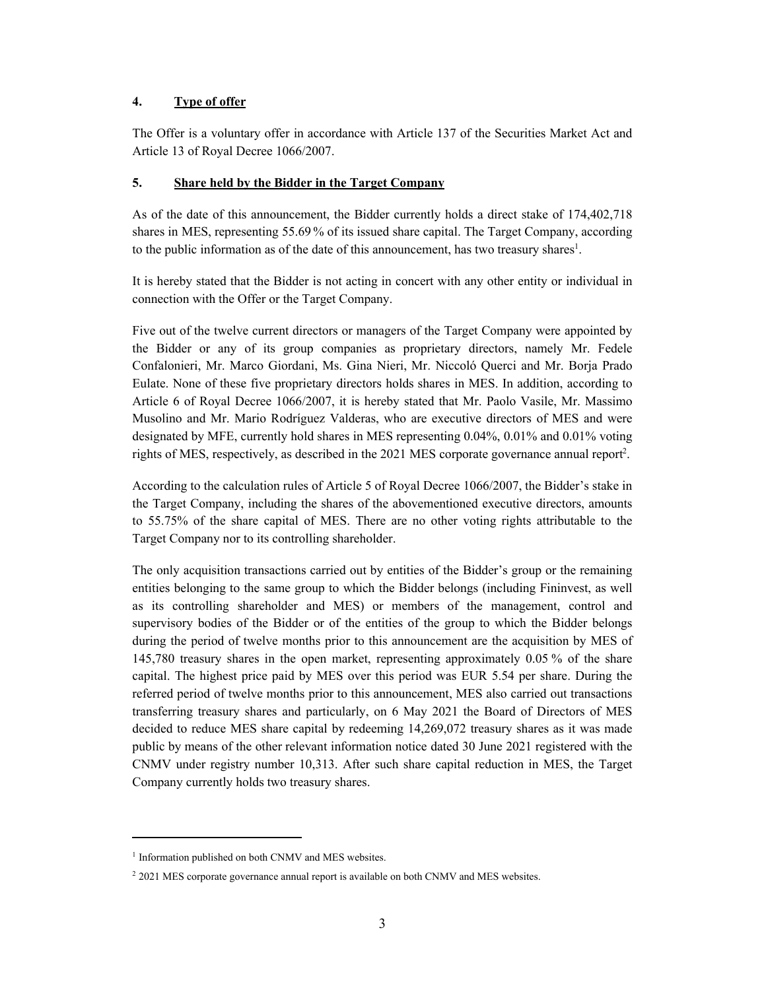### **4. Type of offer**

The Offer is a voluntary offer in accordance with Article 137 of the Securities Market Act and Article 13 of Royal Decree 1066/2007.

#### **5. Share held by the Bidder in the Target Company**

As of the date of this announcement, the Bidder currently holds a direct stake of 174,402,718 shares in MES, representing 55.69 % of its issued share capital. The Target Company, according to the public information as of the date of this announcement, has two treasury shares<sup>1</sup>.

It is hereby stated that the Bidder is not acting in concert with any other entity or individual in connection with the Offer or the Target Company.

Five out of the twelve current directors or managers of the Target Company were appointed by the Bidder or any of its group companies as proprietary directors, namely Mr. Fedele Confalonieri, Mr. Marco Giordani, Ms. Gina Nieri, Mr. Niccoló Querci and Mr. Borja Prado Eulate. None of these five proprietary directors holds shares in MES. In addition, according to Article 6 of Royal Decree 1066/2007, it is hereby stated that Mr. Paolo Vasile, Mr. Massimo Musolino and Mr. Mario Rodríguez Valderas, who are executive directors of MES and were designated by MFE, currently hold shares in MES representing 0.04%, 0.01% and 0.01% voting rights of MES, respectively, as described in the 2021 MES corporate governance annual report<sup>2</sup>.

According to the calculation rules of Article 5 of Royal Decree 1066/2007, the Bidder's stake in the Target Company, including the shares of the abovementioned executive directors, amounts to 55.75% of the share capital of MES. There are no other voting rights attributable to the Target Company nor to its controlling shareholder.

The only acquisition transactions carried out by entities of the Bidder's group or the remaining entities belonging to the same group to which the Bidder belongs (including Fininvest, as well as its controlling shareholder and MES) or members of the management, control and supervisory bodies of the Bidder or of the entities of the group to which the Bidder belongs during the period of twelve months prior to this announcement are the acquisition by MES of 145,780 treasury shares in the open market, representing approximately 0.05 % of the share capital. The highest price paid by MES over this period was EUR 5.54 per share. During the referred period of twelve months prior to this announcement, MES also carried out transactions transferring treasury shares and particularly, on 6 May 2021 the Board of Directors of MES decided to reduce MES share capital by redeeming 14,269,072 treasury shares as it was made public by means of the other relevant information notice dated 30 June 2021 registered with the CNMV under registry number 10,313. After such share capital reduction in MES, the Target Company currently holds two treasury shares.

<sup>&</sup>lt;sup>1</sup> Information published on both CNMV and MES websites.

<sup>2</sup> 2021 MES corporate governance annual report is available on both CNMV and MES websites.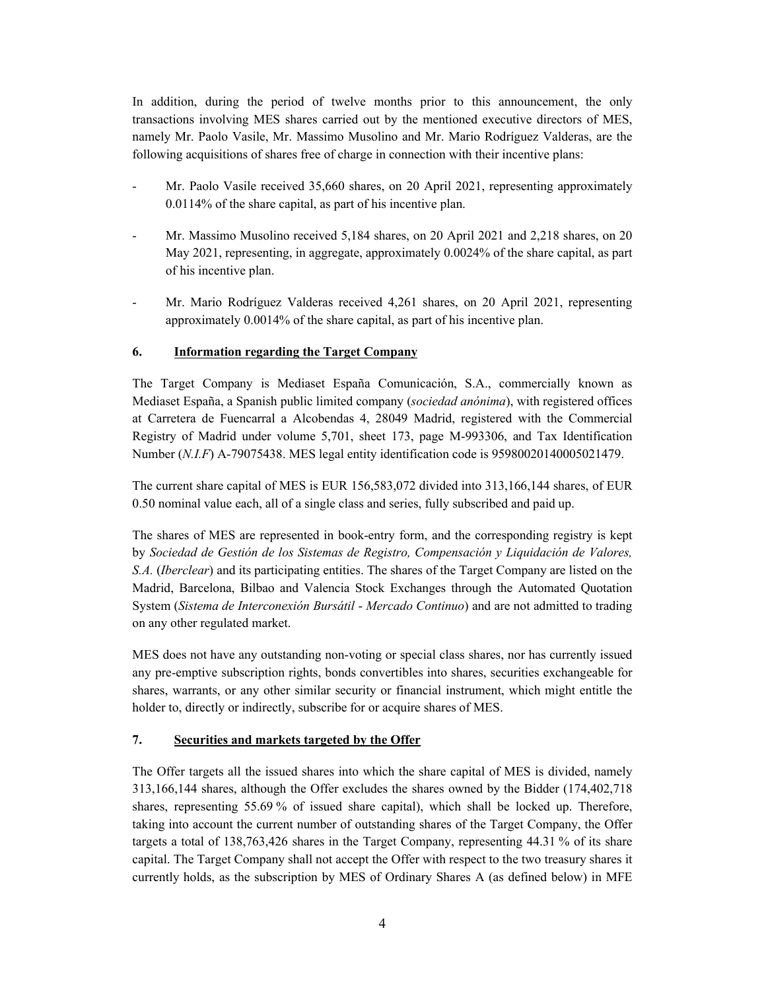In addition, during the period of twelve months prior to this announcement, the only transactions involving MES shares carried out by the mentioned executive directors of MES, namely Mr. Paolo Vasile, Mr. Massimo Musolino and Mr. Mario Rodríguez Valderas, are the following acquisitions of shares free of charge in connection with their incentive plans:

- Mr. Paolo Vasile received 35,660 shares, on 20 April 2021, representing approximately 0.0114% of the share capital, as part of his incentive plan.
- Mr. Massimo Musolino received 5,184 shares, on 20 April 2021 and 2,218 shares, on 20 May 2021, representing, in aggregate, approximately 0.0024% of the share capital, as part of his incentive plan.
- Mr. Mario Rodríguez Valderas received 4,261 shares, on 20 April 2021, representing approximately 0.0014% of the share capital, as part of his incentive plan.

#### **6. Information regarding the Target Company**

The Target Company is Mediaset España Comunicación, S.A., commercially known as Mediaset España, a Spanish public limited company (*sociedad anónima*), with registered offices at Carretera de Fuencarral a Alcobendas 4, 28049 Madrid, registered with the Commercial Registry of Madrid under volume 5,701, sheet 173, page M-993306, and Tax Identification Number (*N.I.F*) A-79075438. MES legal entity identification code is 95980020140005021479.

The current share capital of MES is EUR 156,583,072 divided into 313,166,144 shares, of EUR 0.50 nominal value each, all of a single class and series, fully subscribed and paid up.

The shares of MES are represented in book-entry form, and the corresponding registry is kept by *Sociedad de Gestión de los Sistemas de Registro, Compensación y Liquidación de Valores, S.A.* (*Iberclear*) and its participating entities. The shares of the Target Company are listed on the Madrid, Barcelona, Bilbao and Valencia Stock Exchanges through the Automated Quotation System (*Sistema de Interconexión Bursátil* - *Mercado Continuo*) and are not admitted to trading on any other regulated market.

MES does not have any outstanding non-voting or special class shares, nor has currently issued any pre-emptive subscription rights, bonds convertibles into shares, securities exchangeable for shares, warrants, or any other similar security or financial instrument, which might entitle the holder to, directly or indirectly, subscribe for or acquire shares of MES.

#### **7. Securities and markets targeted by the Offer**

The Offer targets all the issued shares into which the share capital of MES is divided, namely 313,166,144 shares, although the Offer excludes the shares owned by the Bidder (174,402,718 shares, representing 55.69 % of issued share capital), which shall be locked up. Therefore, taking into account the current number of outstanding shares of the Target Company, the Offer targets a total of 138,763,426 shares in the Target Company, representing 44.31 % of its share capital. The Target Company shall not accept the Offer with respect to the two treasury shares it currently holds, as the subscription by MES of Ordinary Shares A (as defined below) in MFE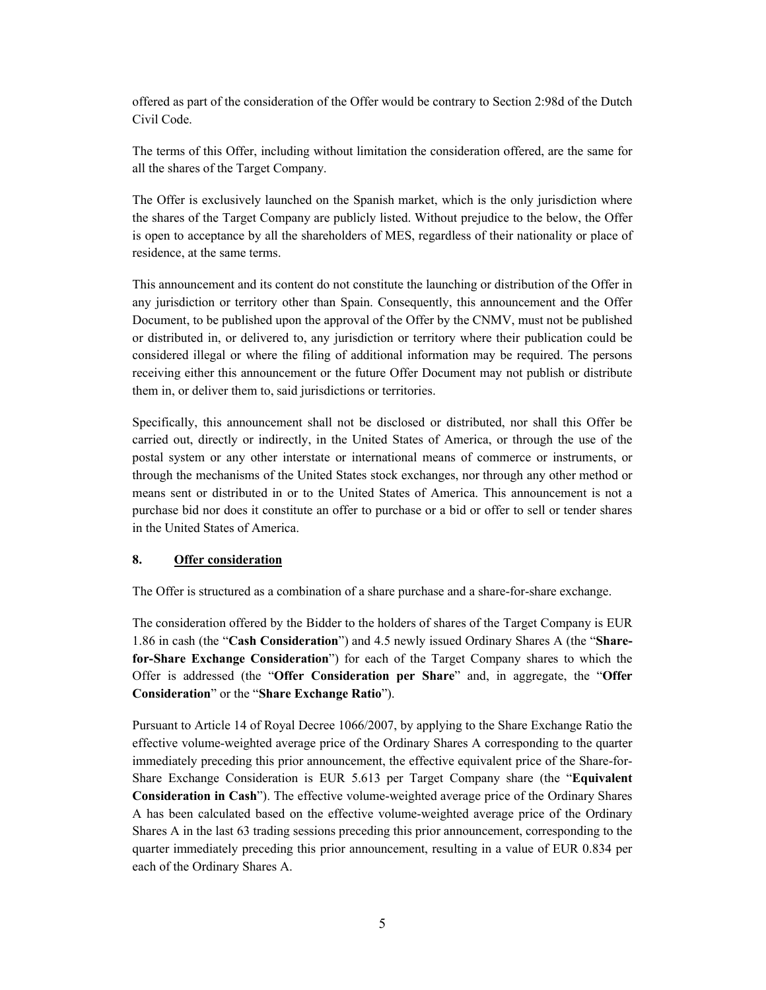offered as part of the consideration of the Offer would be contrary to Section 2:98d of the Dutch Civil Code.

The terms of this Offer, including without limitation the consideration offered, are the same for all the shares of the Target Company.

The Offer is exclusively launched on the Spanish market, which is the only jurisdiction where the shares of the Target Company are publicly listed. Without prejudice to the below, the Offer is open to acceptance by all the shareholders of MES, regardless of their nationality or place of residence, at the same terms.

This announcement and its content do not constitute the launching or distribution of the Offer in any jurisdiction or territory other than Spain. Consequently, this announcement and the Offer Document, to be published upon the approval of the Offer by the CNMV, must not be published or distributed in, or delivered to, any jurisdiction or territory where their publication could be considered illegal or where the filing of additional information may be required. The persons receiving either this announcement or the future Offer Document may not publish or distribute them in, or deliver them to, said jurisdictions or territories.

Specifically, this announcement shall not be disclosed or distributed, nor shall this Offer be carried out, directly or indirectly, in the United States of America, or through the use of the postal system or any other interstate or international means of commerce or instruments, or through the mechanisms of the United States stock exchanges, nor through any other method or means sent or distributed in or to the United States of America. This announcement is not a purchase bid nor does it constitute an offer to purchase or a bid or offer to sell or tender shares in the United States of America.

### **8. Offer consideration**

The Offer is structured as a combination of a share purchase and a share-for-share exchange.

The consideration offered by the Bidder to the holders of shares of the Target Company is EUR 1.86 in cash (the "**Cash Consideration**") and 4.5 newly issued Ordinary Shares A (the "**Sharefor-Share Exchange Consideration**") for each of the Target Company shares to which the Offer is addressed (the "**Offer Consideration per Share**" and, in aggregate, the "**Offer Consideration**" or the "**Share Exchange Ratio**").

Pursuant to Article 14 of Royal Decree 1066/2007, by applying to the Share Exchange Ratio the effective volume-weighted average price of the Ordinary Shares A corresponding to the quarter immediately preceding this prior announcement, the effective equivalent price of the Share-for-Share Exchange Consideration is EUR 5.613 per Target Company share (the "**Equivalent Consideration in Cash**"). The effective volume-weighted average price of the Ordinary Shares A has been calculated based on the effective volume-weighted average price of the Ordinary Shares A in the last 63 trading sessions preceding this prior announcement, corresponding to the quarter immediately preceding this prior announcement, resulting in a value of EUR 0.834 per each of the Ordinary Shares A.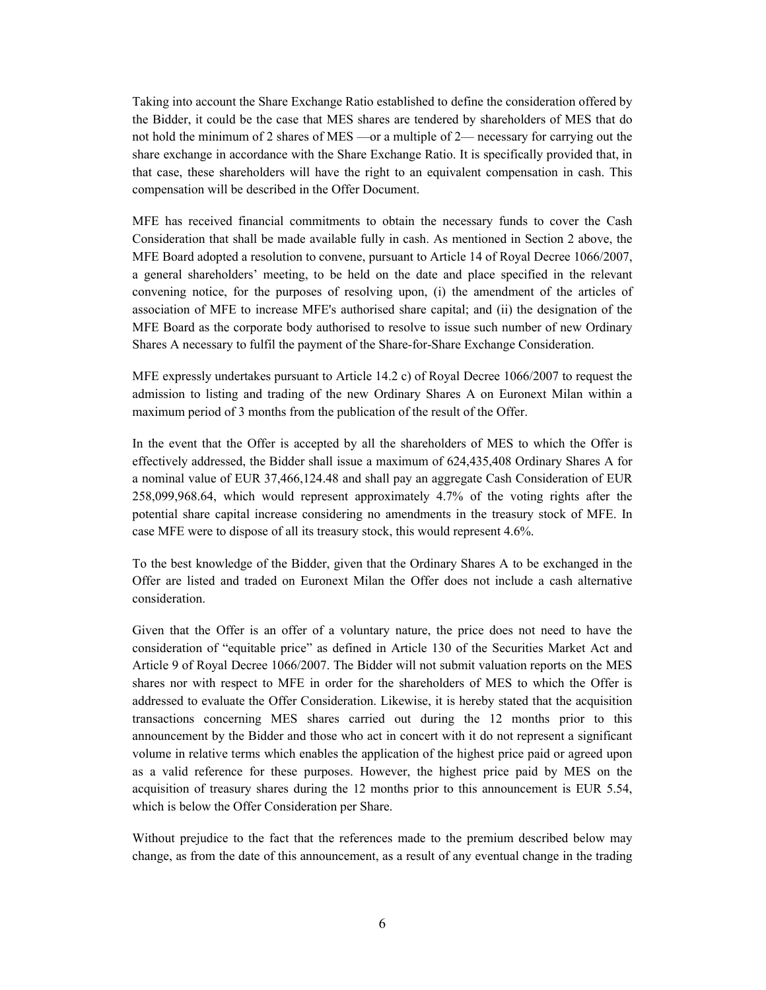Taking into account the Share Exchange Ratio established to define the consideration offered by the Bidder, it could be the case that MES shares are tendered by shareholders of MES that do not hold the minimum of 2 shares of MES —or a multiple of 2— necessary for carrying out the share exchange in accordance with the Share Exchange Ratio. It is specifically provided that, in that case, these shareholders will have the right to an equivalent compensation in cash. This compensation will be described in the Offer Document.

MFE has received financial commitments to obtain the necessary funds to cover the Cash Consideration that shall be made available fully in cash. As mentioned in Section 2 above, the MFE Board adopted a resolution to convene, pursuant to Article 14 of Royal Decree 1066/2007, a general shareholders' meeting, to be held on the date and place specified in the relevant convening notice, for the purposes of resolving upon, (i) the amendment of the articles of association of MFE to increase MFE's authorised share capital; and (ii) the designation of the MFE Board as the corporate body authorised to resolve to issue such number of new Ordinary Shares A necessary to fulfil the payment of the Share-for-Share Exchange Consideration.

MFE expressly undertakes pursuant to Article 14.2 c) of Royal Decree 1066/2007 to request the admission to listing and trading of the new Ordinary Shares A on Euronext Milan within a maximum period of 3 months from the publication of the result of the Offer.

In the event that the Offer is accepted by all the shareholders of MES to which the Offer is effectively addressed, the Bidder shall issue a maximum of 624,435,408 Ordinary Shares A for a nominal value of EUR 37,466,124.48 and shall pay an aggregate Cash Consideration of EUR 258,099,968.64, which would represent approximately 4.7% of the voting rights after the potential share capital increase considering no amendments in the treasury stock of MFE. In case MFE were to dispose of all its treasury stock, this would represent 4.6%.

To the best knowledge of the Bidder, given that the Ordinary Shares A to be exchanged in the Offer are listed and traded on Euronext Milan the Offer does not include a cash alternative consideration.

Given that the Offer is an offer of a voluntary nature, the price does not need to have the consideration of "equitable price" as defined in Article 130 of the Securities Market Act and Article 9 of Royal Decree 1066/2007. The Bidder will not submit valuation reports on the MES shares nor with respect to MFE in order for the shareholders of MES to which the Offer is addressed to evaluate the Offer Consideration. Likewise, it is hereby stated that the acquisition transactions concerning MES shares carried out during the 12 months prior to this announcement by the Bidder and those who act in concert with it do not represent a significant volume in relative terms which enables the application of the highest price paid or agreed upon as a valid reference for these purposes. However, the highest price paid by MES on the acquisition of treasury shares during the 12 months prior to this announcement is EUR 5.54, which is below the Offer Consideration per Share.

Without prejudice to the fact that the references made to the premium described below may change, as from the date of this announcement, as a result of any eventual change in the trading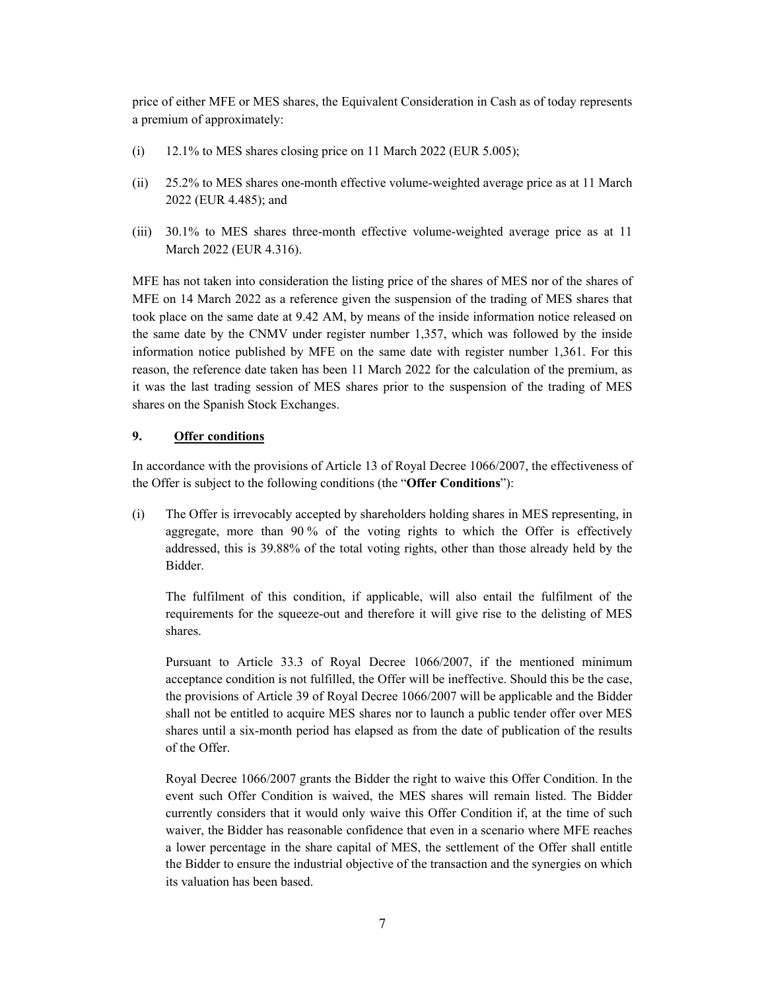price of either MFE or MES shares, the Equivalent Consideration in Cash as of today represents a premium of approximately:

- $(i)$  12.1% to MES shares closing price on 11 March 2022 (EUR 5.005);
- (ii) 25.2% to MES shares one-month effective volume-weighted average price as at 11 March 2022 (EUR 4.485); and
- (iii) 30.1% to MES shares three-month effective volume-weighted average price as at 11 March 2022 (EUR 4.316).

MFE has not taken into consideration the listing price of the shares of MES nor of the shares of MFE on 14 March 2022 as a reference given the suspension of the trading of MES shares that took place on the same date at 9.42 AM, by means of the inside information notice released on the same date by the CNMV under register number 1,357, which was followed by the inside information notice published by MFE on the same date with register number 1,361. For this reason, the reference date taken has been 11 March 2022 for the calculation of the premium, as it was the last trading session of MES shares prior to the suspension of the trading of MES shares on the Spanish Stock Exchanges.

#### **9. Offer conditions**

In accordance with the provisions of Article 13 of Royal Decree 1066/2007, the effectiveness of the Offer is subject to the following conditions (the "**Offer Conditions**"):

(i) The Offer is irrevocably accepted by shareholders holding shares in MES representing, in aggregate, more than 90 % of the voting rights to which the Offer is effectively addressed, this is 39.88% of the total voting rights, other than those already held by the Bidder.

The fulfilment of this condition, if applicable, will also entail the fulfilment of the requirements for the squeeze-out and therefore it will give rise to the delisting of MES shares.

Pursuant to Article 33.3 of Royal Decree 1066/2007, if the mentioned minimum acceptance condition is not fulfilled, the Offer will be ineffective. Should this be the case, the provisions of Article 39 of Royal Decree 1066/2007 will be applicable and the Bidder shall not be entitled to acquire MES shares nor to launch a public tender offer over MES shares until a six-month period has elapsed as from the date of publication of the results of the Offer.

Royal Decree 1066/2007 grants the Bidder the right to waive this Offer Condition. In the event such Offer Condition is waived, the MES shares will remain listed. The Bidder currently considers that it would only waive this Offer Condition if, at the time of such waiver, the Bidder has reasonable confidence that even in a scenario where MFE reaches a lower percentage in the share capital of MES, the settlement of the Offer shall entitle the Bidder to ensure the industrial objective of the transaction and the synergies on which its valuation has been based.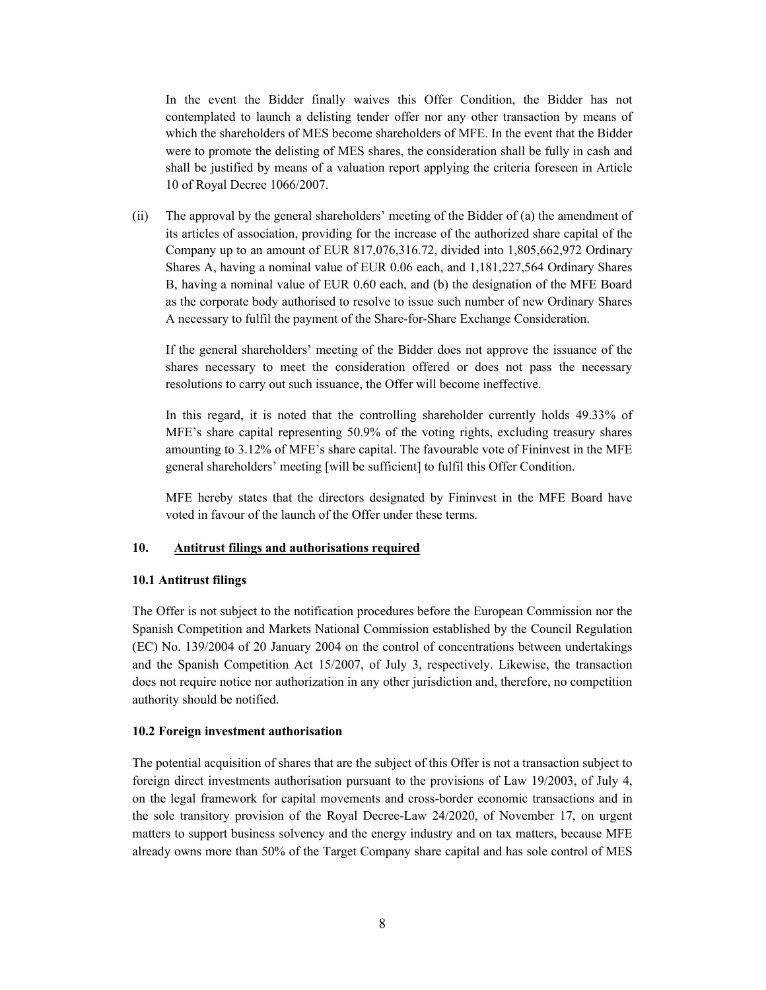In the event the Bidder finally waives this Offer Condition, the Bidder has not contemplated to launch a delisting tender offer nor any other transaction by means of which the shareholders of MES become shareholders of MFE. In the event that the Bidder were to promote the delisting of MES shares, the consideration shall be fully in cash and shall be justified by means of a valuation report applying the criteria foreseen in Article 10 of Royal Decree 1066/2007.

(ii) The approval by the general shareholders' meeting of the Bidder of (a) the amendment of its articles of association, providing for the increase of the authorized share capital of the Company up to an amount of EUR 817,076,316.72, divided into 1,805,662,972 Ordinary Shares A, having a nominal value of EUR 0.06 each, and 1,181,227,564 Ordinary Shares B, having a nominal value of EUR 0.60 each, and (b) the designation of the MFE Board as the corporate body authorised to resolve to issue such number of new Ordinary Shares A necessary to fulfil the payment of the Share-for-Share Exchange Consideration.

If the general shareholders' meeting of the Bidder does not approve the issuance of the shares necessary to meet the consideration offered or does not pass the necessary resolutions to carry out such issuance, the Offer will become ineffective.

In this regard, it is noted that the controlling shareholder currently holds 49.33% of MFE's share capital representing 50.9% of the voting rights, excluding treasury shares amounting to 3.12% of MFE's share capital. The favourable vote of Fininvest in the MFE general shareholders' meeting [will be sufficient] to fulfil this Offer Condition.

MFE hereby states that the directors designated by Fininvest in the MFE Board have voted in favour of the launch of the Offer under these terms.

#### **10. Antitrust filings and authorisations required**

#### **10.1 Antitrust filings**

The Offer is not subject to the notification procedures before the European Commission nor the Spanish Competition and Markets National Commission established by the Council Regulation (EC) No. 139/2004 of 20 January 2004 on the control of concentrations between undertakings and the Spanish Competition Act 15/2007, of July 3, respectively. Likewise, the transaction does not require notice nor authorization in any other jurisdiction and, therefore, no competition authority should be notified.

#### **10.2 Foreign investment authorisation**

The potential acquisition of shares that are the subject of this Offer is not a transaction subject to foreign direct investments authorisation pursuant to the provisions of Law 19/2003, of July 4, on the legal framework for capital movements and cross-border economic transactions and in the sole transitory provision of the Royal Decree-Law 24/2020, of November 17, on urgent matters to support business solvency and the energy industry and on tax matters, because MFE already owns more than 50% of the Target Company share capital and has sole control of MES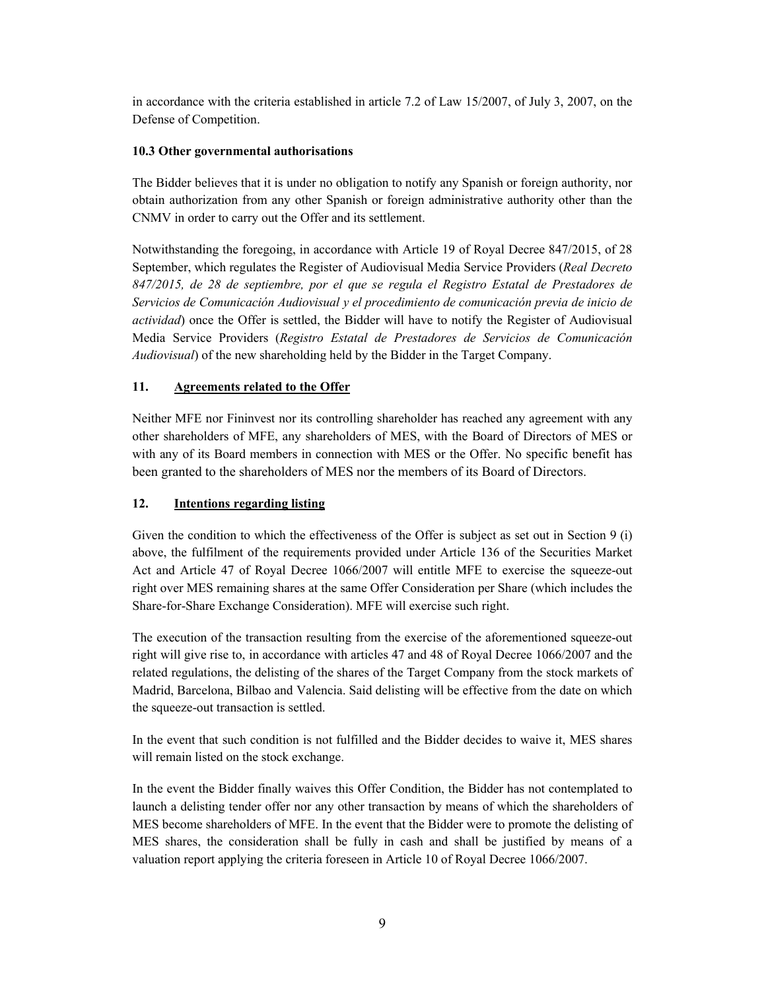in accordance with the criteria established in article 7.2 of Law 15/2007, of July 3, 2007, on the Defense of Competition.

### **10.3 Other governmental authorisations**

The Bidder believes that it is under no obligation to notify any Spanish or foreign authority, nor obtain authorization from any other Spanish or foreign administrative authority other than the CNMV in order to carry out the Offer and its settlement.

Notwithstanding the foregoing, in accordance with Article 19 of Royal Decree 847/2015, of 28 September, which regulates the Register of Audiovisual Media Service Providers (*Real Decreto 847/2015, de 28 de septiembre, por el que se regula el Registro Estatal de Prestadores de Servicios de Comunicación Audiovisual y el procedimiento de comunicación previa de inicio de actividad*) once the Offer is settled, the Bidder will have to notify the Register of Audiovisual Media Service Providers (*Registro Estatal de Prestadores de Servicios de Comunicación Audiovisual*) of the new shareholding held by the Bidder in the Target Company.

# **11. Agreements related to the Offer**

Neither MFE nor Fininvest nor its controlling shareholder has reached any agreement with any other shareholders of MFE, any shareholders of MES, with the Board of Directors of MES or with any of its Board members in connection with MES or the Offer. No specific benefit has been granted to the shareholders of MES nor the members of its Board of Directors.

#### **12. Intentions regarding listing**

Given the condition to which the effectiveness of the Offer is subject as set out in Section 9 (i) above, the fulfilment of the requirements provided under Article 136 of the Securities Market Act and Article 47 of Royal Decree 1066/2007 will entitle MFE to exercise the squeeze-out right over MES remaining shares at the same Offer Consideration per Share (which includes the Share-for-Share Exchange Consideration). MFE will exercise such right.

The execution of the transaction resulting from the exercise of the aforementioned squeeze-out right will give rise to, in accordance with articles 47 and 48 of Royal Decree 1066/2007 and the related regulations, the delisting of the shares of the Target Company from the stock markets of Madrid, Barcelona, Bilbao and Valencia. Said delisting will be effective from the date on which the squeeze-out transaction is settled.

In the event that such condition is not fulfilled and the Bidder decides to waive it, MES shares will remain listed on the stock exchange.

In the event the Bidder finally waives this Offer Condition, the Bidder has not contemplated to launch a delisting tender offer nor any other transaction by means of which the shareholders of MES become shareholders of MFE. In the event that the Bidder were to promote the delisting of MES shares, the consideration shall be fully in cash and shall be justified by means of a valuation report applying the criteria foreseen in Article 10 of Royal Decree 1066/2007.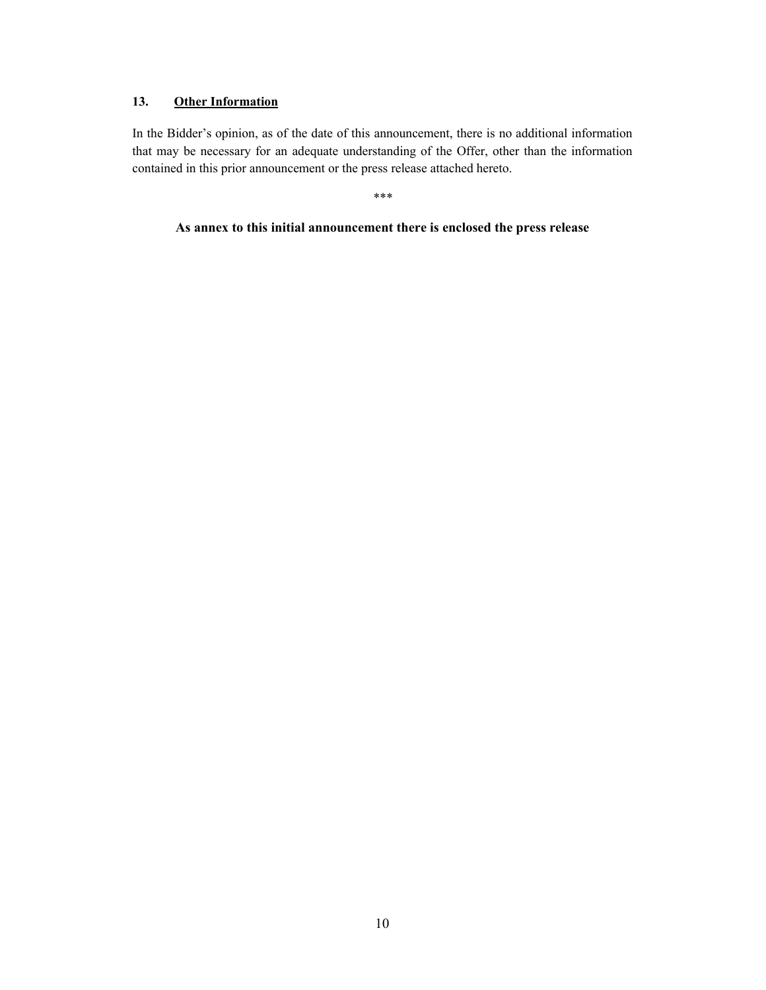# **13. Other Information**

In the Bidder's opinion, as of the date of this announcement, there is no additional information that may be necessary for an adequate understanding of the Offer, other than the information contained in this prior announcement or the press release attached hereto.

*\*\*\**

**As annex to this initial announcement there is enclosed the press release**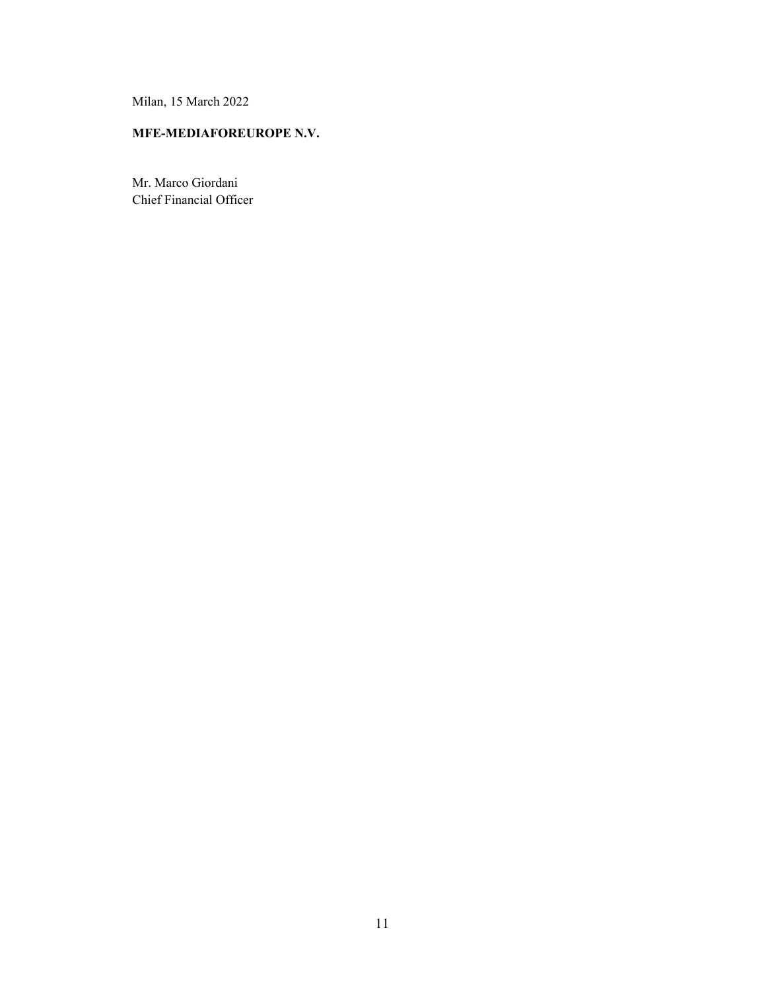Milan, 15 March 2022

# **MFE-MEDIAFOREUROPE N.V.**

Mr. Marco Giordani Chief Financial Officer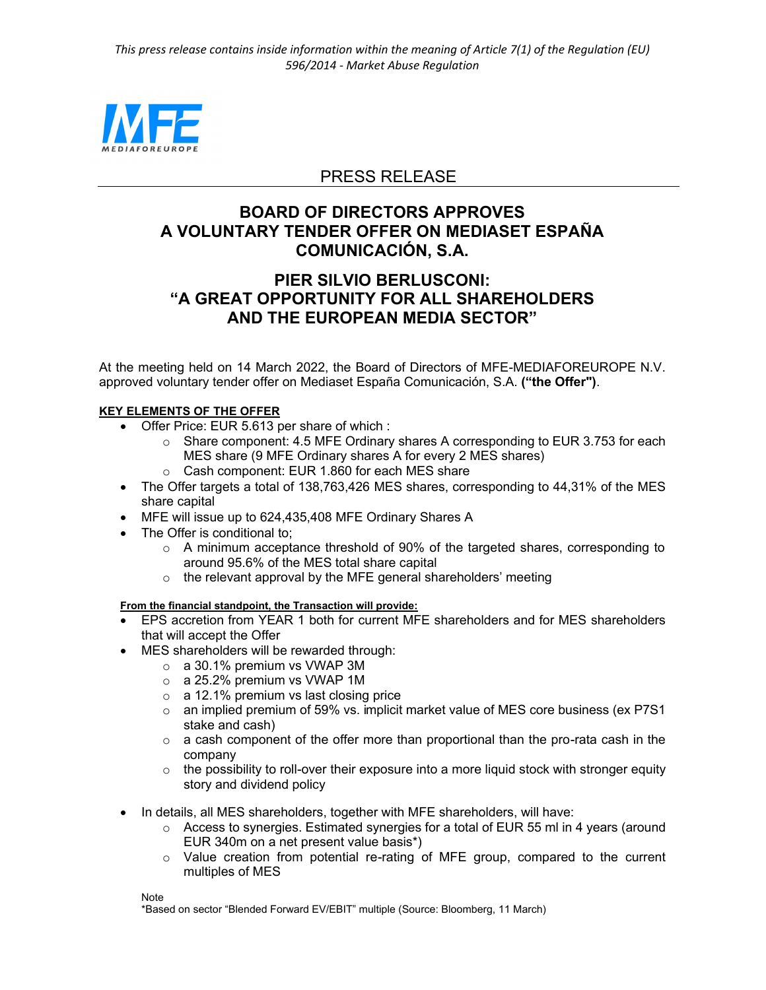

# PRESS RELEASE

# **BOARD OF DIRECTORS APPROVES A VOLUNTARY TENDER OFFER ON MEDIASET ESPAÑA COMUNICACIÓN, S.A.**

# **PIER SILVIO BERLUSCONI: "A GREAT OPPORTUNITY FOR ALL SHAREHOLDERS AND THE EUROPEAN MEDIA SECTOR"**

At the meeting held on 14 March 2022, the Board of Directors of MFE-MEDIAFOREUROPE N.V. approved voluntary tender offer on Mediaset España Comunicación, S.A. **("the Offer")**.

# **KEY ELEMENTS OF THE OFFER**

- Offer Price: EUR 5.613 per share of which :
	- $\circ$  Share component: 4.5 MFE Ordinary shares A corresponding to EUR 3.753 for each MES share (9 MFE Ordinary shares A for every 2 MES shares)
	- o Cash component: EUR 1.860 for each MES share
- The Offer targets a total of 138,763,426 MES shares, corresponding to 44,31% of the MES share capital
- MFE will issue up to 624,435,408 MFE Ordinary Shares A
- The Offer is conditional to:
	- $\circ$  A minimum acceptance threshold of 90% of the targeted shares, corresponding to around 95.6% of the MES total share capital
	- o the relevant approval by the MFE general shareholders' meeting

### **From the financial standpoint, the Transaction will provide:**

- EPS accretion from YEAR 1 both for current MFE shareholders and for MES shareholders that will accept the Offer
- MES shareholders will be rewarded through:
	- o a 30.1% premium vs VWAP 3M
	- o a 25.2% premium vs VWAP 1M
	- o a 12.1% premium vs last closing price
	- $\circ$  an implied premium of 59% vs. implicit market value of MES core business (ex P7S1 stake and cash)
	- $\circ$  a cash component of the offer more than proportional than the pro-rata cash in the company
	- $\circ$  the possibility to roll-over their exposure into a more liquid stock with stronger equity story and dividend policy
- In details, all MES shareholders, together with MFE shareholders, will have:
	- $\circ$  Access to synergies. Estimated synergies for a total of EUR 55 ml in 4 years (around EUR 340m on a net present value basis\*)
	- $\circ$  Value creation from potential re-rating of MFE group, compared to the current multiples of MES

**Note** 

\*Based on sector "Blended Forward EV/EBIT" multiple (Source: Bloomberg, 11 March)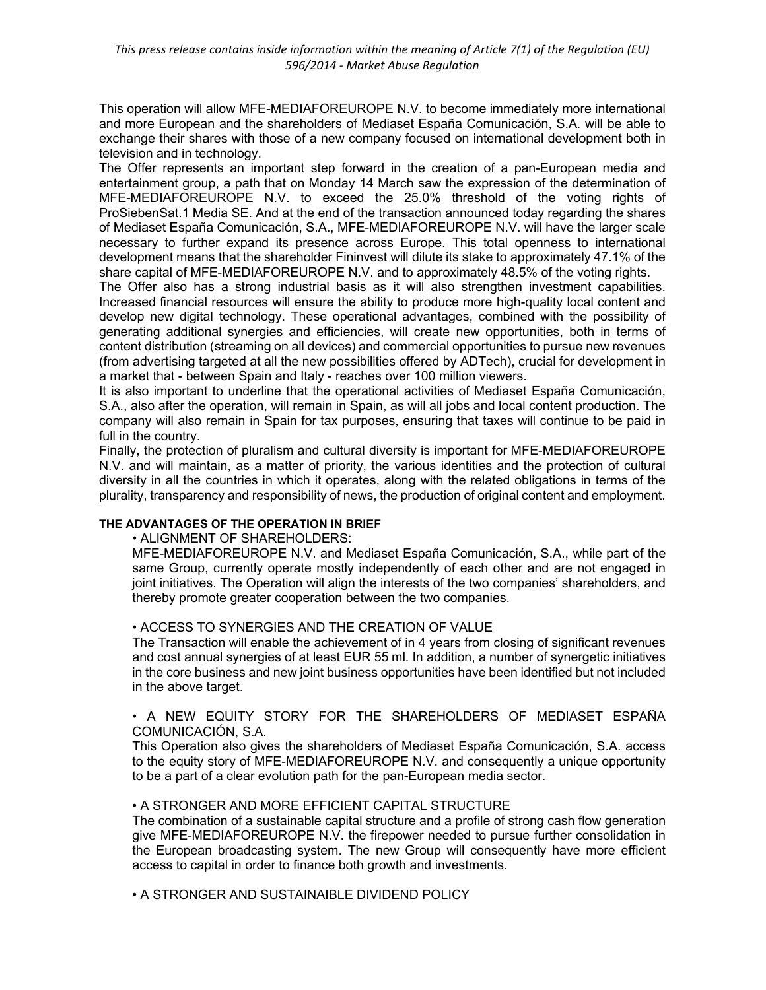This operation will allow MFE-MEDIAFOREUROPE N.V. to become immediately more international and more European and the shareholders of Mediaset España Comunicación, S.A. will be able to exchange their shares with those of a new company focused on international development both in television and in technology.

The Offer represents an important step forward in the creation of a pan-European media and entertainment group, a path that on Monday 14 March saw the expression of the determination of MFE-MEDIAFOREUROPE N.V. to exceed the 25.0% threshold of the voting rights of ProSiebenSat.1 Media SE. And at the end of the transaction announced today regarding the shares of Mediaset España Comunicación, S.A., MFE-MEDIAFOREUROPE N.V. will have the larger scale necessary to further expand its presence across Europe. This total openness to international development means that the shareholder Fininvest will dilute its stake to approximately 47.1% of the share capital of MFE-MEDIAFOREUROPE N.V. and to approximately 48.5% of the voting rights.

The Offer also has a strong industrial basis as it will also strengthen investment capabilities. Increased financial resources will ensure the ability to produce more high-quality local content and develop new digital technology. These operational advantages, combined with the possibility of generating additional synergies and efficiencies, will create new opportunities, both in terms of content distribution (streaming on all devices) and commercial opportunities to pursue new revenues (from advertising targeted at all the new possibilities offered by ADTech), crucial for development in a market that - between Spain and Italy - reaches over 100 million viewers.

It is also important to underline that the operational activities of Mediaset España Comunicación, S.A., also after the operation, will remain in Spain, as will all jobs and local content production. The company will also remain in Spain for tax purposes, ensuring that taxes will continue to be paid in full in the country.

Finally, the protection of pluralism and cultural diversity is important for MFE-MEDIAFOREUROPE N.V. and will maintain, as a matter of priority, the various identities and the protection of cultural diversity in all the countries in which it operates, along with the related obligations in terms of the plurality, transparency and responsibility of news, the production of original content and employment.

# **THE ADVANTAGES OF THE OPERATION IN BRIEF**

#### • ALIGNMENT OF SHAREHOLDERS:

MFE-MEDIAFOREUROPE N.V. and Mediaset España Comunicación, S.A., while part of the same Group, currently operate mostly independently of each other and are not engaged in joint initiatives. The Operation will align the interests of the two companies' shareholders, and thereby promote greater cooperation between the two companies.

# • ACCESS TO SYNERGIES AND THE CREATION OF VALUE

The Transaction will enable the achievement of in 4 years from closing of significant revenues and cost annual synergies of at least EUR 55 ml. In addition, a number of synergetic initiatives in the core business and new joint business opportunities have been identified but not included in the above target.

### • A NEW EQUITY STORY FOR THE SHAREHOLDERS OF MEDIASET ESPAÑA COMUNICACIÓN, S.A.

This Operation also gives the shareholders of Mediaset España Comunicación, S.A. access to the equity story of MFE-MEDIAFOREUROPE N.V. and consequently a unique opportunity to be a part of a clear evolution path for the pan-European media sector.

# • A STRONGER AND MORE EFFICIENT CAPITAL STRUCTURE

The combination of a sustainable capital structure and a profile of strong cash flow generation give MFE-MEDIAFOREUROPE N.V. the firepower needed to pursue further consolidation in the European broadcasting system. The new Group will consequently have more efficient access to capital in order to finance both growth and investments.

• A STRONGER AND SUSTAINAIBLE DIVIDEND POLICY